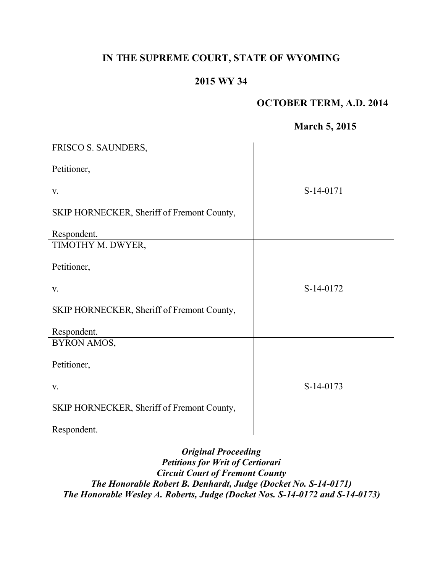# **IN THE SUPREME COURT, STATE OF WYOMING**

# **2015 WY 34**

# **OCTOBER TERM, A.D. 2014**

|                                            | <b>March 5, 2015</b> |
|--------------------------------------------|----------------------|
| FRISCO S. SAUNDERS,                        |                      |
| Petitioner,                                |                      |
| V.                                         | S-14-0171            |
| SKIP HORNECKER, Sheriff of Fremont County, |                      |
| Respondent.                                |                      |
| TIMOTHY M. DWYER,                          |                      |
| Petitioner,                                |                      |
| V.                                         | S-14-0172            |
| SKIP HORNECKER, Sheriff of Fremont County, |                      |
| Respondent.                                |                      |
| <b>BYRON AMOS,</b>                         |                      |
| Petitioner,                                |                      |
| V.                                         | $S-14-0173$          |
| SKIP HORNECKER, Sheriff of Fremont County, |                      |
| Respondent.                                |                      |
| Original Proceeding                        |                      |

*Original Proceeding Petitions for Writ of Certiorari Circuit Court of Fremont County The Honorable Robert B. Denhardt, Judge (Docket No. S-14-0171) The Honorable Wesley A. Roberts, Judge (Docket Nos. S-14-0172 and S-14-0173)*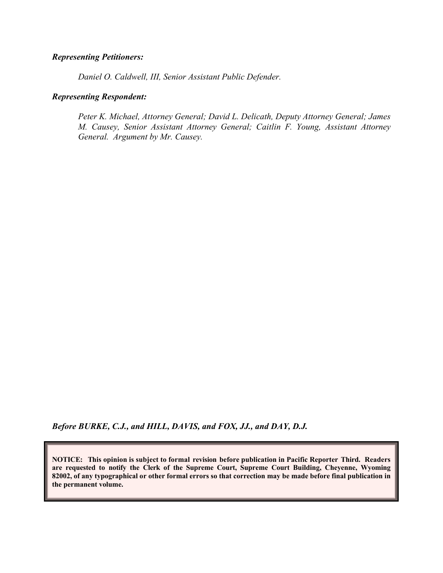#### *Representing Petitioners:*

*Daniel O. Caldwell, III, Senior Assistant Public Defender.*

#### *Representing Respondent:*

*Peter K. Michael, Attorney General; David L. Delicath, Deputy Attorney General; James M. Causey, Senior Assistant Attorney General; Caitlin F. Young, Assistant Attorney General. Argument by Mr. Causey.*

*Before BURKE, C.J., and HILL, DAVIS, and FOX, JJ., and DAY, D.J.*

**NOTICE: This opinion is subject to formal revision before publication in Pacific Reporter Third. Readers are requested to notify the Clerk of the Supreme Court, Supreme Court Building, Cheyenne, Wyoming 82002, of any typographical or other formal errors so that correction may be made before final publication in the permanent volume.**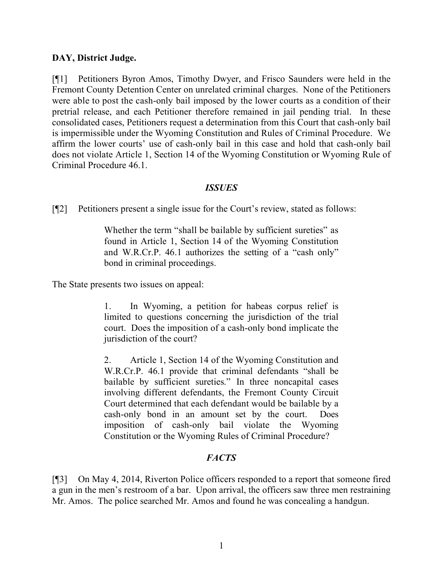### **DAY, District Judge.**

[¶1] Petitioners Byron Amos, Timothy Dwyer, and Frisco Saunders were held in the Fremont County Detention Center on unrelated criminal charges. None of the Petitioners were able to post the cash-only bail imposed by the lower courts as a condition of their pretrial release, and each Petitioner therefore remained in jail pending trial. In these consolidated cases, Petitioners request a determination from this Court that cash-only bail is impermissible under the Wyoming Constitution and Rules of Criminal Procedure. We affirm the lower courts' use of cash-only bail in this case and hold that cash-only bail does not violate Article 1, Section 14 of the Wyoming Constitution or Wyoming Rule of Criminal Procedure 46.1.

#### *ISSUES*

[¶2] Petitioners present a single issue for the Court's review, stated as follows:

Whether the term "shall be bailable by sufficient sureties" as found in Article 1, Section 14 of the Wyoming Constitution and W.R.Cr.P. 46.1 authorizes the setting of a "cash only" bond in criminal proceedings.

The State presents two issues on appeal:

1. In Wyoming, a petition for habeas corpus relief is limited to questions concerning the jurisdiction of the trial court. Does the imposition of a cash-only bond implicate the jurisdiction of the court?

2. Article 1, Section 14 of the Wyoming Constitution and W.R.Cr.P. 46.1 provide that criminal defendants "shall be bailable by sufficient sureties." In three noncapital cases involving different defendants, the Fremont County Circuit Court determined that each defendant would be bailable by a cash-only bond in an amount set by the court. Does imposition of cash-only bail violate the Wyoming Constitution or the Wyoming Rules of Criminal Procedure?

# *FACTS*

[¶3] On May 4, 2014, Riverton Police officers responded to a report that someone fired a gun in the men's restroom of a bar. Upon arrival, the officers saw three men restraining Mr. Amos. The police searched Mr. Amos and found he was concealing a handgun.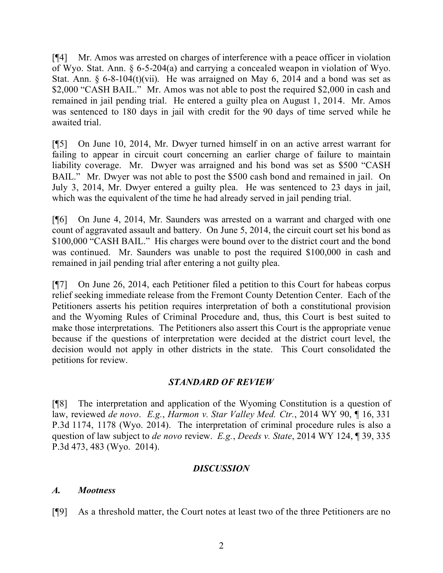[¶4] Mr. Amos was arrested on charges of interference with a peace officer in violation of Wyo. Stat. Ann. § 6-5-204(a) and carrying a concealed weapon in violation of Wyo. Stat. Ann.  $\S 6-8-104(t)$ (vii). He was arraigned on May 6, 2014 and a bond was set as \$2,000 "CASH BAIL." Mr. Amos was not able to post the required \$2,000 in cash and remained in jail pending trial. He entered a guilty plea on August 1, 2014. Mr. Amos was sentenced to 180 days in jail with credit for the 90 days of time served while he awaited trial.

[¶5] On June 10, 2014, Mr. Dwyer turned himself in on an active arrest warrant for failing to appear in circuit court concerning an earlier charge of failure to maintain liability coverage. Mr. Dwyer was arraigned and his bond was set as \$500 "CASH BAIL." Mr. Dwyer was not able to post the \$500 cash bond and remained in jail. On July 3, 2014, Mr. Dwyer entered a guilty plea. He was sentenced to 23 days in jail, which was the equivalent of the time he had already served in jail pending trial.

[¶6] On June 4, 2014, Mr. Saunders was arrested on a warrant and charged with one count of aggravated assault and battery. On June 5, 2014, the circuit court set his bond as \$100,000 "CASH BAIL." His charges were bound over to the district court and the bond was continued. Mr. Saunders was unable to post the required \$100,000 in cash and remained in jail pending trial after entering a not guilty plea.

[¶7] On June 26, 2014, each Petitioner filed a petition to this Court for habeas corpus relief seeking immediate release from the Fremont County Detention Center. Each of the Petitioners asserts his petition requires interpretation of both a constitutional provision and the Wyoming Rules of Criminal Procedure and, thus, this Court is best suited to make those interpretations. The Petitioners also assert this Court is the appropriate venue because if the questions of interpretation were decided at the district court level, the decision would not apply in other districts in the state. This Court consolidated the petitions for review.

### *STANDARD OF REVIEW*

[¶8] The interpretation and application of the Wyoming Constitution is a question of law, reviewed *de novo*. *E.g.*, *Harmon v. Star Valley Med. Ctr.*, 2014 WY 90, ¶ 16, 331 P.3d 1174, 1178 (Wyo. 2014). The interpretation of criminal procedure rules is also a question of law subject to *de novo* review. *E.g.*, *Deeds v. State*, 2014 WY 124, ¶ 39, 335 P.3d 473, 483 (Wyo. 2014).

### *DISCUSSION*

### *A. Mootness*

[¶9] As a threshold matter, the Court notes at least two of the three Petitioners are no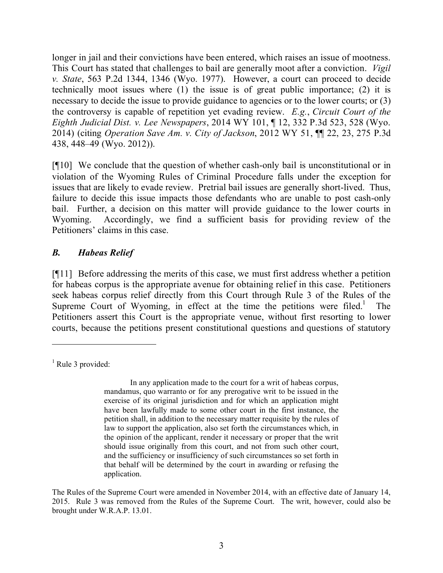longer in jail and their convictions have been entered, which raises an issue of mootness. This Court has stated that challenges to bail are generally moot after a conviction. *Vigil v. State*, 563 P.2d 1344, 1346 (Wyo. 1977). However, a court can proceed to decide technically moot issues where (1) the issue is of great public importance; (2) it is necessary to decide the issue to provide guidance to agencies or to the lower courts; or (3) the controversy is capable of repetition yet evading review. *E.g.*, *Circuit Court of the Eighth Judicial Dist. v. Lee Newspapers*, 2014 WY 101, ¶ 12, 332 P.3d 523, 528 (Wyo. 2014) (citing *Operation Save Am. v. City of Jackson*, 2012 WY 51, ¶¶ 22, 23, 275 P.3d 438, 448–49 (Wyo. 2012)).

[¶10] We conclude that the question of whether cash-only bail is unconstitutional or in violation of the Wyoming Rules of Criminal Procedure falls under the exception for issues that are likely to evade review. Pretrial bail issues are generally short-lived. Thus, failure to decide this issue impacts those defendants who are unable to post cash-only bail. Further, a decision on this matter will provide guidance to the lower courts in Wyoming. Accordingly, we find a sufficient basis for providing review of the Petitioners' claims in this case.

## *B. Habeas Relief*

[¶11] Before addressing the merits of this case, we must first address whether a petition for habeas corpus is the appropriate avenue for obtaining relief in this case. Petitioners seek habeas corpus relief directly from this Court through Rule 3 of the Rules of the Supreme Court of Wyoming, in effect at the time the petitions were filed.<sup>1</sup> The Petitioners assert this Court is the appropriate venue, without first resorting to lower courts, because the petitions present constitutional questions and questions of statutory

In any application made to the court for a writ of habeas corpus, mandamus, quo warranto or for any prerogative writ to be issued in the exercise of its original jurisdiction and for which an application might have been lawfully made to some other court in the first instance, the petition shall, in addition to the necessary matter requisite by the rules of law to support the application, also set forth the circumstances which, in the opinion of the applicant, render it necessary or proper that the writ should issue originally from this court, and not from such other court, and the sufficiency or insufficiency of such circumstances so set forth in that behalf will be determined by the court in awarding or refusing the application.

The Rules of the Supreme Court were amended in November 2014, with an effective date of January 14, 2015. Rule 3 was removed from the Rules of the Supreme Court. The writ, however, could also be brought under W.R.A.P. 13.01.

 $<sup>1</sup>$  Rule 3 provided:</sup>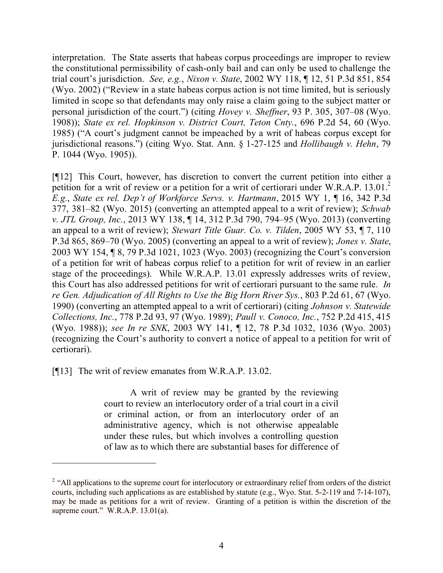interpretation. The State asserts that habeas corpus proceedings are improper to review the constitutional permissibility of cash-only bail and can only be used to challenge the trial court's jurisdiction. *See, e.g.*, *Nixon v. State*, 2002 WY 118, ¶ 12, 51 P.3d 851, 854 (Wyo. 2002) ("Review in a state habeas corpus action is not time limited, but is seriously limited in scope so that defendants may only raise a claim going to the subject matter or personal jurisdiction of the court.") (citing *Hovey v. Sheffner*, 93 P. 305, 307–08 (Wyo. 1908)); *State ex rel. Hopkinson v. District Court, Teton Cnty.*, 696 P.2d 54, 60 (Wyo. 1985) ("A court's judgment cannot be impeached by a writ of habeas corpus except for jurisdictional reasons.") (citing Wyo. Stat. Ann. § 1-27-125 and *Hollibaugh v. Hehn*, 79 P. 1044 (Wyo. 1905)).

[¶12] This Court, however, has discretion to convert the current petition into either a petition for a writ of review or a petition for a writ of certiorari under W.R.A.P. 13.01.<sup>2</sup> *E.g.*, *State ex rel. Dep't of Workforce Servs. v. Hartmann*, 2015 WY 1, ¶ 16, 342 P.3d 377, 381–82 (Wyo. 2015) (converting an attempted appeal to a writ of review); *Schwab v. JTL Group, Inc.*, 2013 WY 138, ¶ 14, 312 P.3d 790, 794–95 (Wyo. 2013) (converting an appeal to a writ of review); *Stewart Title Guar. Co. v. Tilden*, 2005 WY 53, ¶ 7, 110 P.3d 865, 869–70 (Wyo. 2005) (converting an appeal to a writ of review); *Jones v. State*, 2003 WY 154, ¶ 8, 79 P.3d 1021, 1023 (Wyo. 2003) (recognizing the Court's conversion of a petition for writ of habeas corpus relief to a petition for writ of review in an earlier stage of the proceedings). While W.R.A.P. 13.01 expressly addresses writs of review, this Court has also addressed petitions for writ of certiorari pursuant to the same rule. *In re Gen. Adjudication of All Rights to Use the Big Horn River Sys.*, 803 P.2d 61, 67 (Wyo. 1990) (converting an attempted appeal to a writ of certiorari) (citing *Johnson v. Statewide Collections, Inc.*, 778 P.2d 93, 97 (Wyo. 1989); *Paull v. Conoco, Inc.*, 752 P.2d 415, 415 (Wyo. 1988)); *see In re SNK*, 2003 WY 141, ¶ 12, 78 P.3d 1032, 1036 (Wyo. 2003) (recognizing the Court's authority to convert a notice of appeal to a petition for writ of certiorari).

[¶13] The writ of review emanates from W.R.A.P. 13.02.

 $\overline{a}$ 

A writ of review may be granted by the reviewing court to review an interlocutory order of a trial court in a civil or criminal action, or from an interlocutory order of an administrative agency, which is not otherwise appealable under these rules, but which involves a controlling question of law as to which there are substantial bases for difference of

<sup>&</sup>lt;sup>2</sup> "All applications to the supreme court for interlocutory or extraordinary relief from orders of the district courts, including such applications as are established by statute (e.g., Wyo. Stat. 5-2-119 and 7-14-107), may be made as petitions for a writ of review. Granting of a petition is within the discretion of the supreme court." W.R.A.P. 13.01(a).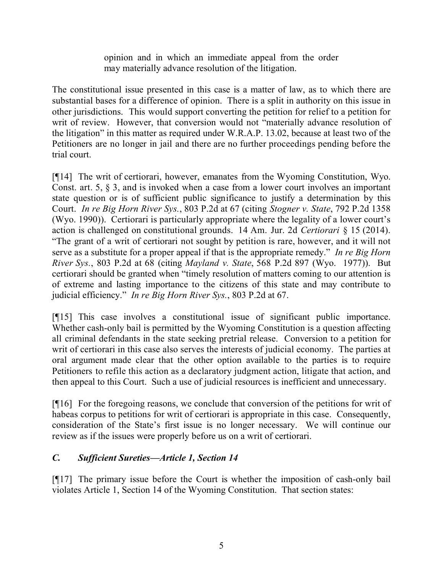opinion and in which an immediate appeal from the order may materially advance resolution of the litigation.

The constitutional issue presented in this case is a matter of law, as to which there are substantial bases for a difference of opinion. There is a split in authority on this issue in other jurisdictions. This would support converting the petition for relief to a petition for writ of review. However, that conversion would not "materially advance resolution of the litigation" in this matter as required under W.R.A.P. 13.02, because at least two of the Petitioners are no longer in jail and there are no further proceedings pending before the trial court.

[¶14] The writ of certiorari, however, emanates from the Wyoming Constitution, Wyo. Const. art. 5, § 3, and is invoked when a case from a lower court involves an important state question or is of sufficient public significance to justify a determination by this Court. *In re Big Horn River Sys.*, 803 P.2d at 67 (citing *Stogner v. State*, 792 P.2d 1358 (Wyo. 1990)). Certiorari is particularly appropriate where the legality of a lower court's action is challenged on constitutional grounds. 14 Am. Jur. 2d *Certiorari* § 15 (2014). "The grant of a writ of certiorari not sought by petition is rare, however, and it will not serve as a substitute for a proper appeal if that is the appropriate remedy." *In re Big Horn River Sys.*, 803 P.2d at 68 (citing *Mayland v. State*, 568 P.2d 897 (Wyo. 1977)). But certiorari should be granted when "timely resolution of matters coming to our attention is of extreme and lasting importance to the citizens of this state and may contribute to judicial efficiency." *In re Big Horn River Sys.*, 803 P.2d at 67.

[¶15] This case involves a constitutional issue of significant public importance. Whether cash-only bail is permitted by the Wyoming Constitution is a question affecting all criminal defendants in the state seeking pretrial release. Conversion to a petition for writ of certiorari in this case also serves the interests of judicial economy. The parties at oral argument made clear that the other option available to the parties is to require Petitioners to refile this action as a declaratory judgment action, litigate that action, and then appeal to this Court. Such a use of judicial resources is inefficient and unnecessary.

[¶16] For the foregoing reasons, we conclude that conversion of the petitions for writ of habeas corpus to petitions for writ of certiorari is appropriate in this case. Consequently, consideration of the State's first issue is no longer necessary. We will continue our review as if the issues were properly before us on a writ of certiorari.

# *C. Sufficient Sureties—Article 1, Section 14*

[¶17] The primary issue before the Court is whether the imposition of cash-only bail violates Article 1, Section 14 of the Wyoming Constitution. That section states: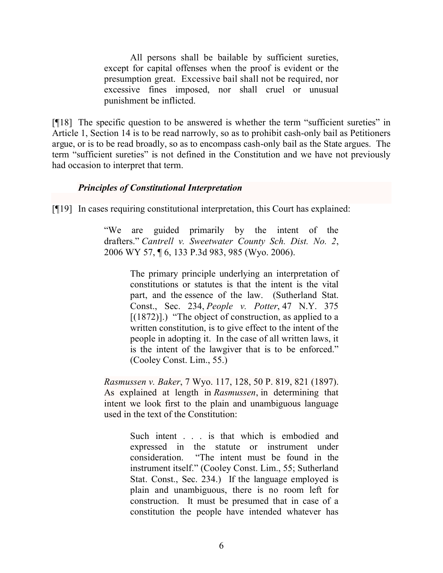All persons shall be bailable by sufficient sureties, except for capital offenses when the proof is evident or the presumption great. Excessive bail shall not be required, nor excessive fines imposed, nor shall cruel or unusual punishment be inflicted.

[¶18] The specific question to be answered is whether the term "sufficient sureties" in Article 1, Section 14 is to be read narrowly, so as to prohibit cash-only bail as Petitioners argue, or is to be read broadly, so as to encompass cash-only bail as the State argues. The term "sufficient sureties" is not defined in the Constitution and we have not previously had occasion to interpret that term.

### *Principles of Constitutional Interpretation*

[¶19] In cases requiring constitutional interpretation, this Court has explained:

"We are guided primarily by the intent of the drafters." *Cantrell v. Sweetwater County Sch. Dist. No. 2*, 2006 WY 57, ¶ 6, 133 P.3d 983, 985 (Wyo. 2006).

> The primary principle underlying an interpretation of constitutions or statutes is that the intent is the vital part, and the essence of the law. (Sutherland Stat. Const., Sec. 234, *People v. Potter*, 47 N.Y. 375  $[(1872)]$ .) "The object of construction, as applied to a written constitution, is to give effect to the intent of the people in adopting it. In the case of all written laws, it is the intent of the lawgiver that is to be enforced." (Cooley Const. Lim., 55.)

*Rasmussen v. Baker*, 7 Wyo. 117, 128, 50 P. 819, 821 (1897). As explained at length in *Rasmussen*, in determining that intent we look first to the plain and unambiguous language used in the text of the Constitution:

> Such intent . . . is that which is embodied and expressed in the statute or instrument under consideration. "The intent must be found in the instrument itself." (Cooley Const. Lim., 55; Sutherland Stat. Const., Sec. 234.) If the language employed is plain and unambiguous, there is no room left for construction. It must be presumed that in case of a constitution the people have intended whatever has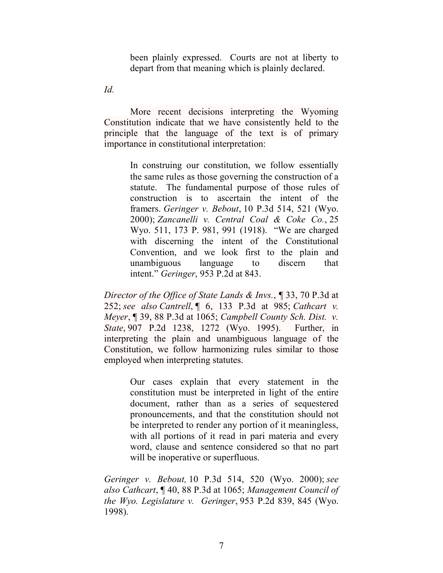been plainly expressed. Courts are not at liberty to depart from that meaning which is plainly declared.

*Id.*

More recent decisions interpreting the Wyoming Constitution indicate that we have consistently held to the principle that the language of the text is of primary importance in constitutional interpretation:

> In construing our constitution, we follow essentially the same rules as those governing the construction of a statute. The fundamental purpose of those rules of construction is to ascertain the intent of the framers. *Geringer v. Bebout*, 10 P.3d 514, 521 (Wyo. 2000); *Zancanelli v. Central Coal & Coke Co.*, 25 Wyo. 511, 173 P. 981, 991 (1918). "We are charged with discerning the intent of the Constitutional Convention, and we look first to the plain and unambiguous language to discern that intent." *Geringer*, 953 P.2d at 843.

*Director of the Office of State Lands & Invs.*, *¶* 33, 70 P.3d at 252; *see also Cantrell*, ¶ 6, 133 P.3d at 985; *Cathcart v. Meyer*, ¶ 39, 88 P.3d at 1065; *Campbell County Sch. Dist. v. State*, 907 P.2d 1238, 1272 (Wyo. 1995). Further, in interpreting the plain and unambiguous language of the Constitution, we follow harmonizing rules similar to those employed when interpreting statutes.

> Our cases explain that every statement in the constitution must be interpreted in light of the entire document, rather than as a series of sequestered pronouncements, and that the constitution should not be interpreted to render any portion of it meaningless, with all portions of it read in pari materia and every word, clause and sentence considered so that no part will be inoperative or superfluous.

*Geringer v. Bebout,* 10 P.3d 514, 520 (Wyo. 2000); *see also Cathcart*, ¶ 40, 88 P.3d at 1065; *Management Council of the Wyo. Legislature v. Geringer*, 953 P.2d 839, 845 (Wyo. 1998).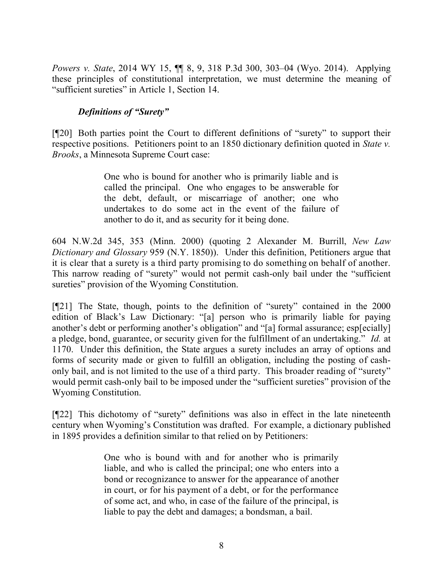*Powers v. State*, 2014 WY 15, ¶¶ 8, 9, 318 P.3d 300, 303–04 (Wyo. 2014). Applying these principles of constitutional interpretation, we must determine the meaning of "sufficient sureties" in Article 1, Section 14.

## *Definitions of "Surety"*

[¶20] Both parties point the Court to different definitions of "surety" to support their respective positions. Petitioners point to an 1850 dictionary definition quoted in *State v. Brooks*, a Minnesota Supreme Court case:

> One who is bound for another who is primarily liable and is called the principal. One who engages to be answerable for the debt, default, or miscarriage of another; one who undertakes to do some act in the event of the failure of another to do it, and as security for it being done.

604 N.W.2d 345, 353 (Minn. 2000) (quoting 2 Alexander M. Burrill, *New Law Dictionary and Glossary* 959 (N.Y. 1850)). Under this definition, Petitioners argue that it is clear that a surety is a third party promising to do something on behalf of another. This narrow reading of "surety" would not permit cash-only bail under the "sufficient sureties" provision of the Wyoming Constitution.

[¶21] The State, though, points to the definition of "surety" contained in the 2000 edition of Black's Law Dictionary: "[a] person who is primarily liable for paying another's debt or performing another's obligation" and "[a] formal assurance; esp[ecially] a pledge, bond, guarantee, or security given for the fulfillment of an undertaking." *Id.* at 1170. Under this definition, the State argues a surety includes an array of options and forms of security made or given to fulfill an obligation, including the posting of cashonly bail, and is not limited to the use of a third party. This broader reading of "surety" would permit cash-only bail to be imposed under the "sufficient sureties" provision of the Wyoming Constitution.

[¶22] This dichotomy of "surety" definitions was also in effect in the late nineteenth century when Wyoming's Constitution was drafted. For example, a dictionary published in 1895 provides a definition similar to that relied on by Petitioners:

> One who is bound with and for another who is primarily liable, and who is called the principal; one who enters into a bond or recognizance to answer for the appearance of another in court, or for his payment of a debt, or for the performance of some act, and who, in case of the failure of the principal, is liable to pay the debt and damages; a bondsman, a bail.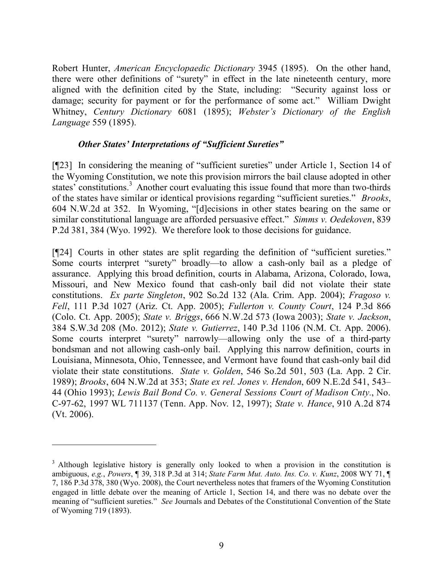Robert Hunter, *American Encyclopaedic Dictionary* 3945 (1895). On the other hand, there were other definitions of "surety" in effect in the late nineteenth century, more aligned with the definition cited by the State, including: "Security against loss or damage; security for payment or for the performance of some act." William Dwight Whitney, *Century Dictionary* 6081 (1895); *Webster's Dictionary of the English Language* 559 (1895).

#### *Other States' Interpretations of "Sufficient Sureties"*

[¶23] In considering the meaning of "sufficient sureties" under Article 1, Section 14 of the Wyoming Constitution, we note this provision mirrors the bail clause adopted in other states' constitutions.<sup>3</sup> Another court evaluating this issue found that more than two-thirds of the states have similar or identical provisions regarding "sufficient sureties." *Brooks*, 604 N.W.2d at 352. In Wyoming, "[d]ecisions in other states bearing on the same or similar constitutional language are afforded persuasive effect." *Simms v. Oedekoven*, 839 P.2d 381, 384 (Wyo. 1992). We therefore look to those decisions for guidance.

[¶24] Courts in other states are split regarding the definition of "sufficient sureties." Some courts interpret "surety" broadly—to allow a cash-only bail as a pledge of assurance. Applying this broad definition, courts in Alabama, Arizona, Colorado, Iowa, Missouri, and New Mexico found that cash-only bail did not violate their state constitutions. *Ex parte Singleton*, 902 So.2d 132 (Ala. Crim. App. 2004); *Fragoso v. Fell*, 111 P.3d 1027 (Ariz. Ct. App. 2005); *Fullerton v. County Court*, 124 P.3d 866 (Colo. Ct. App. 2005); *State v. Briggs*, 666 N.W.2d 573 (Iowa 2003); *State v. Jackson*, 384 S.W.3d 208 (Mo. 2012); *State v. Gutierrez*, 140 P.3d 1106 (N.M. Ct. App. 2006). Some courts interpret "surety" narrowly—allowing only the use of a third-party bondsman and not allowing cash-only bail. Applying this narrow definition, courts in Louisiana, Minnesota, Ohio, Tennessee, and Vermont have found that cash-only bail did violate their state constitutions. *State v. Golden*, 546 So.2d 501, 503 (La. App. 2 Cir. 1989); *Brooks*, 604 N.W.2d at 353; *State ex rel. Jones v. Hendon*, 609 N.E.2d 541, 543– 44 (Ohio 1993); *Lewis Bail Bond Co. v. General Sessions Court of Madison Cnty.*, No. C-97-62, 1997 WL 711137 (Tenn. App. Nov. 12, 1997); *State v. Hance*, 910 A.2d 874 (Vt. 2006).

<sup>&</sup>lt;sup>3</sup> Although legislative history is generally only looked to when a provision in the constitution is ambiguous, *e.g.*, *Powers*, ¶ 39, 318 P.3d at 314; *State Farm Mut. Auto. Ins. Co. v. Kunz*, 2008 WY 71, ¶ 7, 186 P.3d 378, 380 (Wyo. 2008), the Court nevertheless notes that framers of the Wyoming Constitution engaged in little debate over the meaning of Article 1, Section 14, and there was no debate over the meaning of "sufficient sureties." *See* Journals and Debates of the Constitutional Convention of the State of Wyoming 719 (1893).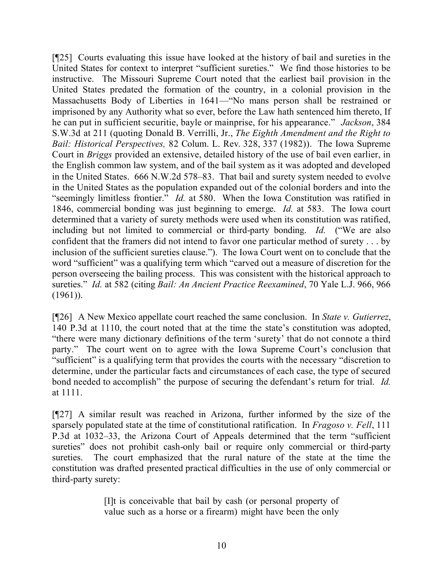[¶25] Courts evaluating this issue have looked at the history of bail and sureties in the United States for context to interpret "sufficient sureties." We find those histories to be instructive. The Missouri Supreme Court noted that the earliest bail provision in the United States predated the formation of the country, in a colonial provision in the Massachusetts Body of Liberties in 1641—"No mans person shall be restrained or imprisoned by any Authority what so ever, before the Law hath sentenced him thereto, If he can put in sufficient securitie, bayle or mainprise, for his appearance." *Jackson*, 384 S.W.3d at 211 (quoting Donald B. Verrilli, Jr., *The Eighth Amendment and the Right to Bail: Historical Perspectives,* 82 Colum. L. Rev. 328, 337 (1982)). The Iowa Supreme Court in *Briggs* provided an extensive, detailed history of the use of bail even earlier, in the English common law system, and of the bail system as it was adopted and developed in the United States. 666 N.W.2d 578–83. That bail and surety system needed to evolve in the United States as the population expanded out of the colonial borders and into the "seemingly limitless frontier." *Id.* at 580. When the Iowa Constitution was ratified in 1846, commercial bonding was just beginning to emerge. *Id.* at 583. The Iowa court determined that a variety of surety methods were used when its constitution was ratified, including but not limited to commercial or third-party bonding. *Id.* ("We are also confident that the framers did not intend to favor one particular method of surety . . . by inclusion of the sufficient sureties clause."). The Iowa Court went on to conclude that the word "sufficient" was a qualifying term which "carved out a measure of discretion for the person overseeing the bailing process. This was consistent with the historical approach to sureties." *Id.* at 582 (citing *Bail: An Ancient Practice Reexamined*, 70 Yale L.J. 966, 966  $(1961)$ ).

[¶26] A New Mexico appellate court reached the same conclusion. In *State v. Gutierrez*, 140 P.3d at 1110, the court noted that at the time the state's constitution was adopted, "there were many dictionary definitions of the term 'surety' that do not connote a third party." The court went on to agree with the Iowa Supreme Court's conclusion that "sufficient" is a qualifying term that provides the courts with the necessary "discretion to determine, under the particular facts and circumstances of each case, the type of secured bond needed to accomplish" the purpose of securing the defendant's return for trial. *Id.* at 1111.

[¶27] A similar result was reached in Arizona, further informed by the size of the sparsely populated state at the time of constitutional ratification. In *Fragoso v. Fell*, 111 P.3d at 1032–33, the Arizona Court of Appeals determined that the term "sufficient sureties" does not prohibit cash-only bail or require only commercial or third-party sureties. The court emphasized that the rural nature of the state at the time the constitution was drafted presented practical difficulties in the use of only commercial or third-party surety:

> [I]t is conceivable that bail by cash (or personal property of value such as a horse or a firearm) might have been the only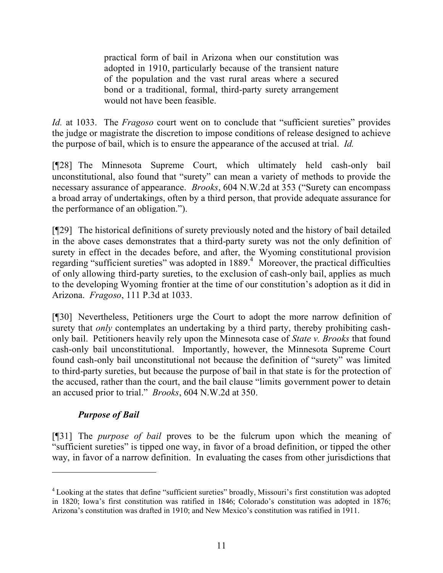practical form of bail in Arizona when our constitution was adopted in 1910, particularly because of the transient nature of the population and the vast rural areas where a secured bond or a traditional, formal, third-party surety arrangement would not have been feasible.

*Id.* at 1033. The *Fragoso* court went on to conclude that "sufficient sureties" provides the judge or magistrate the discretion to impose conditions of release designed to achieve the purpose of bail, which is to ensure the appearance of the accused at trial. *Id.*

[¶28] The Minnesota Supreme Court, which ultimately held cash-only bail unconstitutional, also found that "surety" can mean a variety of methods to provide the necessary assurance of appearance. *Brooks*, 604 N.W.2d at 353 ("Surety can encompass a broad array of undertakings, often by a third person, that provide adequate assurance for the performance of an obligation.").

[¶29] The historical definitions of surety previously noted and the history of bail detailed in the above cases demonstrates that a third-party surety was not the only definition of surety in effect in the decades before, and after, the Wyoming constitutional provision regarding "sufficient sureties" was adopted in 1889.<sup>4</sup> Moreover, the practical difficulties of only allowing third-party sureties, to the exclusion of cash-only bail, applies as much to the developing Wyoming frontier at the time of our constitution's adoption as it did in Arizona. *Fragoso*, 111 P.3d at 1033.

[¶30] Nevertheless, Petitioners urge the Court to adopt the more narrow definition of surety that *only* contemplates an undertaking by a third party, thereby prohibiting cashonly bail. Petitioners heavily rely upon the Minnesota case of *State v. Brooks* that found cash-only bail unconstitutional. Importantly, however, the Minnesota Supreme Court found cash-only bail unconstitutional not because the definition of "surety" was limited to third-party sureties, but because the purpose of bail in that state is for the protection of the accused, rather than the court, and the bail clause "limits government power to detain an accused prior to trial." *Brooks*, 604 N.W.2d at 350.

# *Purpose of Bail*

[¶31] The *purpose of bail* proves to be the fulcrum upon which the meaning of "sufficient sureties" is tipped one way, in favor of a broad definition, or tipped the other way, in favor of a narrow definition. In evaluating the cases from other jurisdictions that

<sup>&</sup>lt;sup>4</sup> Looking at the states that define "sufficient sureties" broadly, Missouri's first constitution was adopted in 1820; Iowa's first constitution was ratified in 1846; Colorado's constitution was adopted in 1876; Arizona's constitution was drafted in 1910; and New Mexico's constitution was ratified in 1911.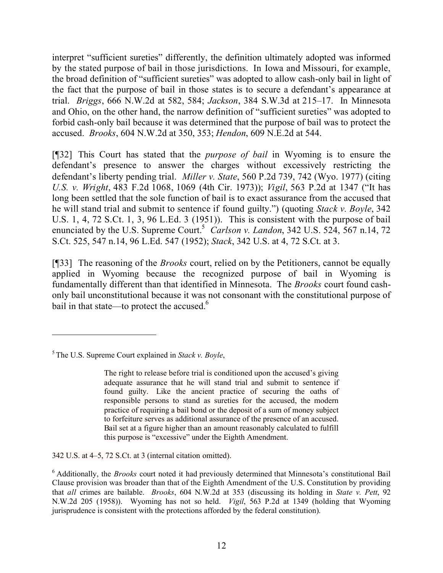interpret "sufficient sureties" differently, the definition ultimately adopted was informed by the stated purpose of bail in those jurisdictions. In Iowa and Missouri, for example, the broad definition of "sufficient sureties" was adopted to allow cash-only bail in light of the fact that the purpose of bail in those states is to secure a defendant's appearance at trial. *Briggs*, 666 N.W.2d at 582, 584; *Jackson*, 384 S.W.3d at 215–17. In Minnesota and Ohio, on the other hand, the narrow definition of "sufficient sureties" was adopted to forbid cash-only bail because it was determined that the purpose of bail was to protect the accused. *Brooks*, 604 N.W.2d at 350, 353; *Hendon*, 609 N.E.2d at 544.

[¶32] This Court has stated that the *purpose of bail* in Wyoming is to ensure the defendant's presence to answer the charges without excessively restricting the defendant's liberty pending trial. *Miller v. State*, 560 P.2d 739, 742 (Wyo. 1977) (citing *U.S. v. Wright*, 483 F.2d 1068, 1069 (4th Cir. 1973)); *Vigil*, 563 P.2d at 1347 ("It has long been settled that the sole function of bail is to exact assurance from the accused that he will stand trial and submit to sentence if found guilty.") (quoting *Stack v. Boyle*, 342 U.S. 1, 4, 72 S.Ct. 1, 3, 96 L.Ed. 3 (1951)). This is consistent with the purpose of bail enunciated by the U.S. Supreme Court.<sup>5</sup> *Carlson v. Landon*, 342 U.S. 524, 567 n.14, 72 S.Ct. 525, 547 n.14, 96 L.Ed. 547 (1952); *Stack*, 342 U.S. at 4, 72 S.Ct. at 3.

[¶33] The reasoning of the *Brooks* court, relied on by the Petitioners, cannot be equally applied in Wyoming because the recognized purpose of bail in Wyoming is fundamentally different than that identified in Minnesota. The *Brooks* court found cashonly bail unconstitutional because it was not consonant with the constitutional purpose of bail in that state—to protect the accused.<sup>6</sup>

 $\overline{a}$ 

342 U.S. at 4–5, 72 S.Ct. at 3 (internal citation omitted).

<sup>5</sup>The U.S. Supreme Court explained in *Stack v. Boyle*,

The right to release before trial is conditioned upon the accused's giving adequate assurance that he will stand trial and submit to sentence if found guilty. Like the ancient practice of securing the oaths of responsible persons to stand as sureties for the accused, the modern practice of requiring a bail bond or the deposit of a sum of money subject to forfeiture serves as additional assurance of the presence of an accused. Bail set at a figure higher than an amount reasonably calculated to fulfill this purpose is "excessive" under the Eighth Amendment.

<sup>6</sup> Additionally, the *Brooks* court noted it had previously determined that Minnesota's constitutional Bail Clause provision was broader than that of the Eighth Amendment of the U.S. Constitution by providing that *all* crimes are bailable. *Brooks*, 604 N.W.2d at 353 (discussing its holding in *State v. Pett*, 92 N.W.2d 205 (1958)). Wyoming has not so held. *Vigil*, 563 P.2d at 1349 (holding that Wyoming jurisprudence is consistent with the protections afforded by the federal constitution).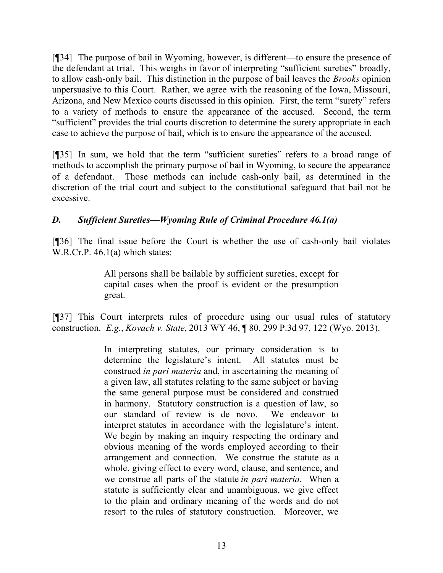[¶34] The purpose of bail in Wyoming, however, is different—to ensure the presence of the defendant at trial. This weighs in favor of interpreting "sufficient sureties" broadly, to allow cash-only bail. This distinction in the purpose of bail leaves the *Brooks* opinion unpersuasive to this Court. Rather, we agree with the reasoning of the Iowa, Missouri, Arizona, and New Mexico courts discussed in this opinion. First, the term "surety" refers to a variety of methods to ensure the appearance of the accused. Second, the term "sufficient" provides the trial courts discretion to determine the surety appropriate in each case to achieve the purpose of bail, which is to ensure the appearance of the accused.

[¶35] In sum, we hold that the term "sufficient sureties" refers to a broad range of methods to accomplish the primary purpose of bail in Wyoming, to secure the appearance of a defendant. Those methods can include cash-only bail, as determined in the discretion of the trial court and subject to the constitutional safeguard that bail not be excessive.

# *D. Sufficient Sureties—Wyoming Rule of Criminal Procedure 46.1(a)*

[¶36] The final issue before the Court is whether the use of cash-only bail violates W.R.Cr.P. 46.1(a) which states:

> All persons shall be bailable by sufficient sureties, except for capital cases when the proof is evident or the presumption great.

[¶37] This Court interprets rules of procedure using our usual rules of statutory construction. *E.g.*, *Kovach v. State*, 2013 WY 46, ¶ 80, 299 P.3d 97, 122 (Wyo. 2013).

> In interpreting statutes, our primary consideration is to determine the legislature's intent. All statutes must be construed *in pari materia* and, in ascertaining the meaning of a given law, all statutes relating to the same subject or having the same general purpose must be considered and construed in harmony. Statutory construction is a question of law, so our standard of review is de novo. We endeavor to interpret statutes in accordance with the legislature's intent. We begin by making an inquiry respecting the ordinary and obvious meaning of the words employed according to their arrangement and connection. We construe the statute as a whole, giving effect to every word, clause, and sentence, and we construe all parts of the statute *in pari materia.* When a statute is sufficiently clear and unambiguous, we give effect to the plain and ordinary meaning of the words and do not resort to the rules of statutory construction. Moreover, we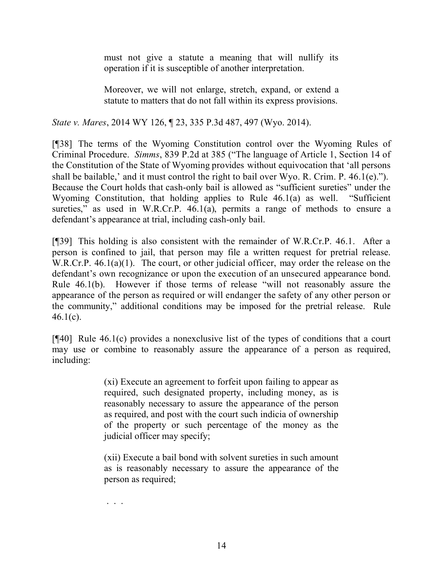must not give a statute a meaning that will nullify its operation if it is susceptible of another interpretation.

Moreover, we will not enlarge, stretch, expand, or extend a statute to matters that do not fall within its express provisions.

*State v. Mares*, 2014 WY 126, ¶ 23, 335 P.3d 487, 497 (Wyo. 2014).

[¶38] The terms of the Wyoming Constitution control over the Wyoming Rules of Criminal Procedure. *Simms*, 839 P.2d at 385 ("The language of Article 1, Section 14 of the Constitution of the State of Wyoming provides without equivocation that 'all persons shall be bailable,' and it must control the right to bail over Wyo. R. Crim. P. 46.1(e)."). Because the Court holds that cash-only bail is allowed as "sufficient sureties" under the Wyoming Constitution, that holding applies to Rule 46.1(a) as well. "Sufficient sureties," as used in W.R.Cr.P. 46.1(a), permits a range of methods to ensure a defendant's appearance at trial, including cash-only bail.

[¶39] This holding is also consistent with the remainder of W.R.Cr.P. 46.1. After a person is confined to jail, that person may file a written request for pretrial release. W.R.Cr.P. 46.1(a)(1). The court, or other judicial officer, may order the release on the defendant's own recognizance or upon the execution of an unsecured appearance bond. Rule 46.1(b). However if those terms of release "will not reasonably assure the appearance of the person as required or will endanger the safety of any other person or the community," additional conditions may be imposed for the pretrial release. Rule  $46.1(c)$ .

 $[$ **[40]** Rule 46.1(c) provides a nonexclusive list of the types of conditions that a court may use or combine to reasonably assure the appearance of a person as required, including:

> (xi) Execute an agreement to forfeit upon failing to appear as required, such designated property, including money, as is reasonably necessary to assure the appearance of the person as required, and post with the court such indicia of ownership of the property or such percentage of the money as the judicial officer may specify;

> (xii) Execute a bail bond with solvent sureties in such amount as is reasonably necessary to assure the appearance of the person as required;

. . .